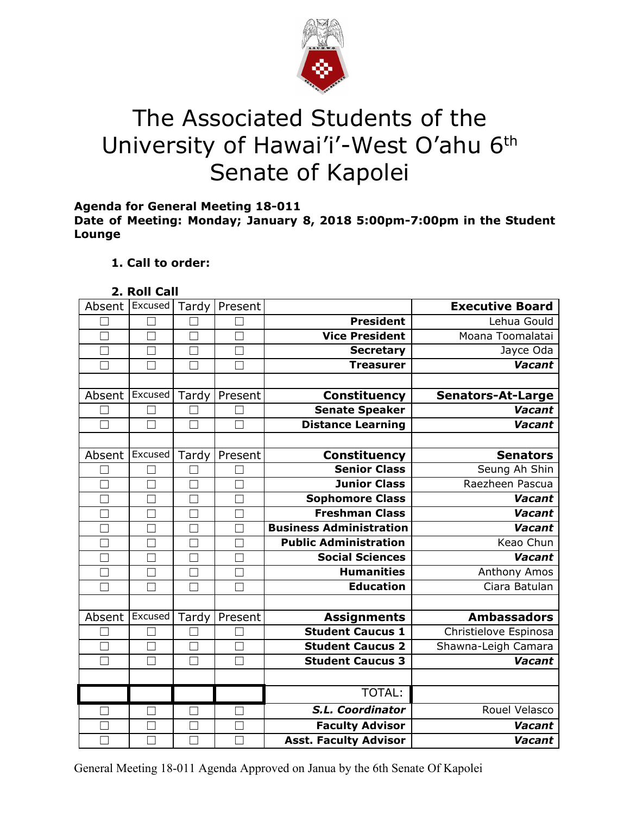

# The Associated Students of the University of Hawai'i'-West O'ahu 6<sup>th</sup> Senate of Kapolei

**Agenda for General Meeting 18-011**

**Date of Meeting: Monday; January 8, 2018 5:00pm-7:00pm in the Student Lounge**

# **1. Call to order:**

| 2. Roll Call |  |
|--------------|--|
|--------------|--|

| Absent        | Excused      | Tardy  | Present |                                | <b>Executive Board</b>   |
|---------------|--------------|--------|---------|--------------------------------|--------------------------|
|               |              |        |         | <b>President</b>               | Lehua Gould              |
|               | $\Box$       | П      |         | <b>Vice President</b>          | Moana Toomalatai         |
|               | $\Box$       |        |         | <b>Secretary</b>               | Jayce Oda                |
|               | П            | П      |         | <b>Treasurer</b>               | <b>Vacant</b>            |
|               |              |        |         |                                |                          |
| Absent        | Excused      | Tardy  | Present | <b>Constituency</b>            | <b>Senators-At-Large</b> |
|               | П            |        |         | <b>Senate Speaker</b>          | Vacant                   |
| П             | $\Box$       | $\Box$ |         | <b>Distance Learning</b>       | <b>Vacant</b>            |
|               |              |        |         |                                |                          |
| Absent        | Excused      | Tardy  | Present | <b>Constituency</b>            | <b>Senators</b>          |
|               |              |        |         | <b>Senior Class</b>            | Seung Ah Shin            |
|               |              |        |         | <b>Junior Class</b>            | Raezheen Pascua          |
|               | $\mathbf{L}$ |        |         | <b>Sophomore Class</b>         | Vacant                   |
| П             | $\Box$       | $\Box$ |         | <b>Freshman Class</b>          | Vacant                   |
|               | M            |        |         | <b>Business Administration</b> | Vacant                   |
| П             | П            | П      |         | <b>Public Administration</b>   | Keao Chun                |
|               | $\Box$       | ┓      |         | <b>Social Sciences</b>         | Vacant                   |
|               |              |        |         | <b>Humanities</b>              | Anthony Amos             |
|               | П            | П      |         | <b>Education</b>               | Ciara Batulan            |
|               |              |        |         |                                |                          |
| Absent        | Excused      | Tardy  | Present | <b>Assignments</b>             | <b>Ambassadors</b>       |
|               |              |        |         | <b>Student Caucus 1</b>        | Christielove Espinosa    |
| П             | $\Box$       | П      |         | <b>Student Caucus 2</b>        | Shawna-Leigh Camara      |
| $\mathcal{L}$ | $\Box$       | - 1    |         | <b>Student Caucus 3</b>        | Vacant                   |
|               |              |        |         |                                |                          |
|               |              |        |         | TOTAL:                         |                          |
|               |              |        |         | S.L. Coordinator               | Rouel Velasco            |
|               | $\Box$       | П      |         | <b>Faculty Advisor</b>         | <b>Vacant</b>            |
|               | $\Box$       |        |         | <b>Asst. Faculty Advisor</b>   | Vacant                   |

General Meeting 18-011 Agenda Approved on Janua by the 6th Senate Of Kapolei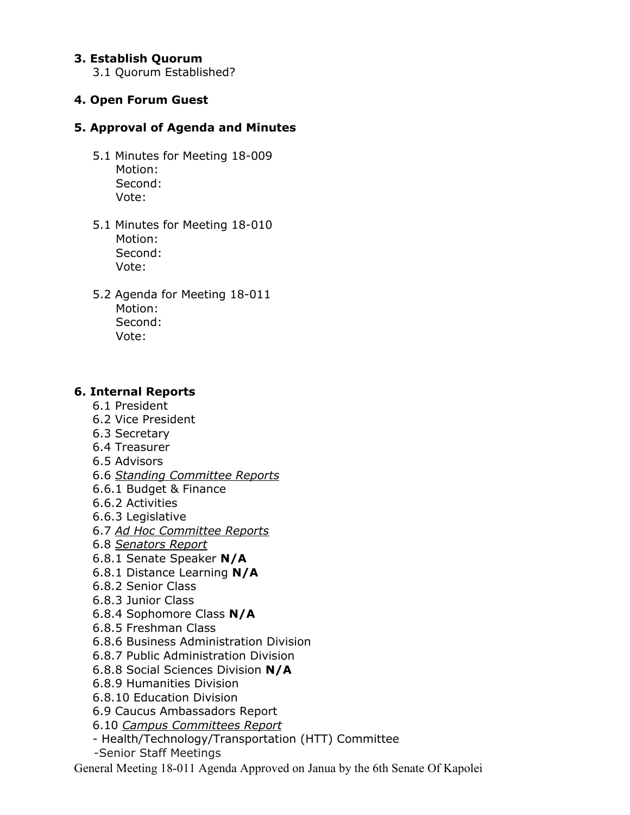### **3. Establish Quorum**

3.1 Quorum Established?

# **4. Open Forum Guest**

# **5. Approval of Agenda and Minutes**

- 5.1 Minutes for Meeting 18-009 Motion: Second: Vote:
- 5.1 Minutes for Meeting 18-010 Motion: Second: Vote:
- 5.2 Agenda for Meeting 18-011 Motion: Second: Vote:

#### **6. Internal Reports**

- 6.1 President
- 6.2 Vice President
- 6.3 Secretary
- 6.4 Treasurer
- 6.5 Advisors
- 6.6 *Standing Committee Reports*
- 6.6.1 Budget & Finance
- 6.6.2 Activities
- 6.6.3 Legislative
- 6.7 *Ad Hoc Committee Reports*
- 6.8 *Senators Report*
- 6.8.1 Senate Speaker **N/A**
- 6.8.1 Distance Learning **N/A**
- 6.8.2 Senior Class
- 6.8.3 Junior Class
- 6.8.4 Sophomore Class **N/A**
- 6.8.5 Freshman Class
- 6.8.6 Business Administration Division
- 6.8.7 Public Administration Division
- 6.8.8 Social Sciences Division **N/A**
- 6.8.9 Humanities Division
- 6.8.10 Education Division
- 6.9 Caucus Ambassadors Report
- 6.10 *Campus Committees Report*
- Health/Technology/Transportation (HTT) Committee
- -Senior Staff Meetings

General Meeting 18-011 Agenda Approved on Janua by the 6th Senate Of Kapolei